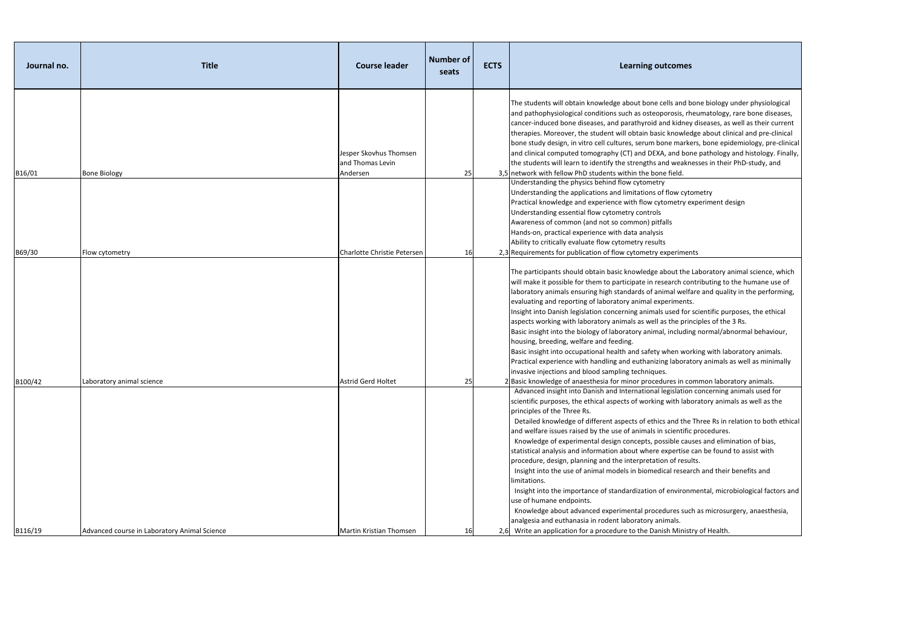| Journal no. | <b>Title</b>                                 | <b>Course leader</b>                                   | <b>Number of</b><br>seats | <b>ECTS</b> | <b>Learning outcomes</b>                                                                                                                                                                                                                                                                                                                                                                                                                                                                                                                                                                                                                                                                                                                                                                                                                                                  |
|-------------|----------------------------------------------|--------------------------------------------------------|---------------------------|-------------|---------------------------------------------------------------------------------------------------------------------------------------------------------------------------------------------------------------------------------------------------------------------------------------------------------------------------------------------------------------------------------------------------------------------------------------------------------------------------------------------------------------------------------------------------------------------------------------------------------------------------------------------------------------------------------------------------------------------------------------------------------------------------------------------------------------------------------------------------------------------------|
| B16/01      | <b>Bone Biology</b>                          | Jesper Skovhus Thomsen<br>and Thomas Levin<br>Andersen | 25                        |             | The students will obtain knowledge about bone cells and bone<br>and pathophysiological conditions such as osteoporosis, rheur<br>cancer-induced bone diseases, and parathyroid and kidney dis<br>therapies. Moreover, the student will obtain basic knowledge<br>bone study design, in vitro cell cultures, serum bone markers,<br>and clinical computed tomography (CT) and DEXA, and bone p<br>the students will learn to identify the strengths and weakness<br>3,5 network with fellow PhD students within the bone field.                                                                                                                                                                                                                                                                                                                                            |
| B69/30      | Flow cytometry                               | Charlotte Christie Petersen                            | <b>16</b>                 |             | Understanding the physics behind flow cytometry<br>Understanding the applications and limitations of flow cytom<br>Practical knowledge and experience with flow cytometry expe<br>Understanding essential flow cytometry controls<br>Awareness of common (and not so common) pitfalls<br>Hands-on, practical experience with data analysis<br>Ability to critically evaluate flow cytometry results<br>2,3 Requirements for publication of flow cytometry experiments                                                                                                                                                                                                                                                                                                                                                                                                     |
|             |                                              |                                                        |                           |             | The participants should obtain basic knowledge about the Lab<br>will make it possible for them to participate in research contri<br>laboratory animals ensuring high standards of animal welfare<br>evaluating and reporting of laboratory animal experiments.<br>Insight into Danish legislation concerning animals used for sci<br>aspects working with laboratory animals as well as the princip<br>Basic insight into the biology of laboratory animal, including n<br>housing, breeding, welfare and feeding.<br>Basic insight into occupational health and safety when workin<br>Practical experience with handling and euthanizing laboratory<br>invasive injections and blood sampling techniques.                                                                                                                                                                |
| B100/42     | Laboratory animal science                    | <b>Astrid Gerd Holtet</b>                              | 25                        |             | 2 Basic knowledge of anaesthesia for minor procedures in comr<br>Advanced insight into Danish and International legislation co<br>scientific purposes, the ethical aspects of working with labora<br>principles of the Three Rs.<br>Detailed knowledge of different aspects of ethics and the Thi<br>and welfare issues raised by the use of animals in scientific pro<br>Knowledge of experimental design concepts, possible causes<br>statistical analysis and information about where expertise can<br>procedure, design, planning and the interpretation of results.<br>Insight into the use of animal models in biomedical research<br>limitations.<br>Insight into the importance of standardization of environmen<br>use of humane endpoints.<br>Knowledge about advanced experimental procedures such a<br>analgesia and euthanasia in rodent laboratory animals. |
| B116/19     | Advanced course in Laboratory Animal Science | Martin Kristian Thomsen                                | <b>16</b>                 |             | 2,6 Write an application for a procedure to the Danish Ministry of                                                                                                                                                                                                                                                                                                                                                                                                                                                                                                                                                                                                                                                                                                                                                                                                        |

I bone biology under physiological rheumatology, rare bone diseases, ey diseases, as well as their current ledge about clinical and pre-clinical rkers, bone epidemiology, pre-clinical one pathology and histology. Finally, knesses in their PhD-study, and

ytometry experiment design

The Laboratory animal science, which contributing to the humane use of elfare and quality in the performing,

or scientific purposes, the ethical rinciples of the 3 Rs.

ding normal/abnormal behaviour,

vorking with laboratory animals. ratory animals as well as minimally

common laboratory animals.

ion concerning animals used for aboratory animals as well as the

he Three Rs in relation to both ethical fic procedures.

auses and elimination of bias,

se can be found to assist with

earch and their benefits and

Inmental, microbiological factors and

uch as microsurgery, anaesthesia,

istry of Health.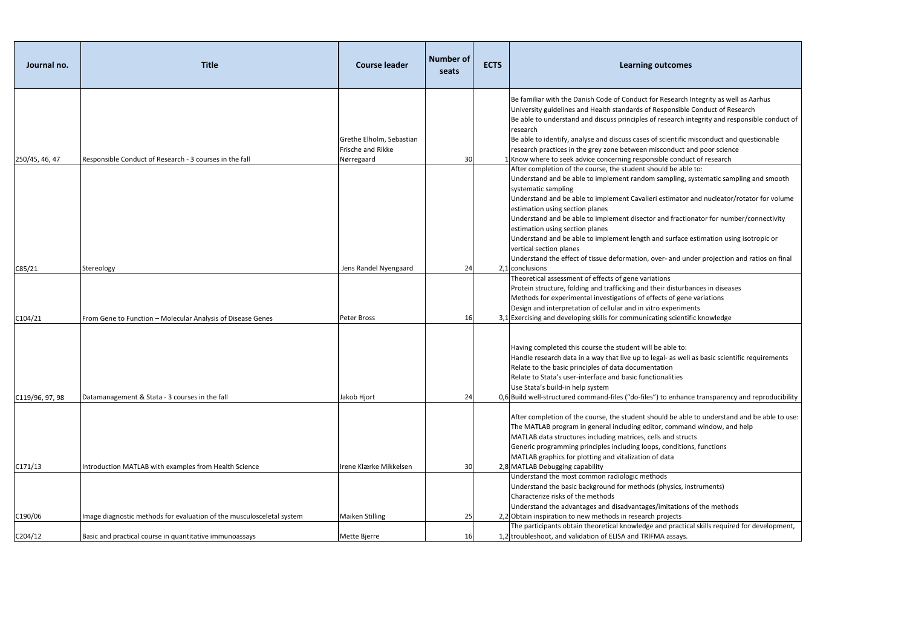| Journal no.     | <b>Title</b>                                                          | <b>Course leader</b>                                        | <b>Number of</b><br>seats | <b>ECTS</b> | <b>Learning outcomes</b>                                                                                                                                                                                                                                                                                                                                                                                                                                                                                                                                                                                                                                                      |
|-----------------|-----------------------------------------------------------------------|-------------------------------------------------------------|---------------------------|-------------|-------------------------------------------------------------------------------------------------------------------------------------------------------------------------------------------------------------------------------------------------------------------------------------------------------------------------------------------------------------------------------------------------------------------------------------------------------------------------------------------------------------------------------------------------------------------------------------------------------------------------------------------------------------------------------|
| 250/45, 46, 47  | Responsible Conduct of Research - 3 courses in the fall               | Grethe Elholm, Sebastian<br>Frische and Rikke<br>Nørregaard | 30                        |             | Be familiar with the Danish Code of Conduct for Research Inte<br>University guidelines and Health standards of Responsible Cor<br>Be able to understand and discuss principles of research integ<br>research<br>Be able to identify, analyse and discuss cases of scientific misc<br>research practices in the grey zone between misconduct and p<br>$1$ Know where to seek advice concerning responsible conduct of<br>After completion of the course, the student should be able to:<br>Understand and be able to implement random sampling, syste<br>systematic sampling<br>Understand and be able to implement Cavalieri estimator and<br>estimation using section planes |
| C85/21          | Stereology                                                            | Jens Randel Nyengaard                                       | 24                        |             | Understand and be able to implement disector and fractionate<br>estimation using section planes<br>Understand and be able to implement length and surface estir<br>vertical section planes<br>Understand the effect of tissue deformation, over- and under<br>2,1 conclusions                                                                                                                                                                                                                                                                                                                                                                                                 |
| C104/21         | From Gene to Function - Molecular Analysis of Disease Genes           | Peter Bross                                                 | <b>16</b>                 |             | Theoretical assessment of effects of gene variations<br>Protein structure, folding and trafficking and their disturbance<br>Methods for experimental investigations of effects of gene var<br>Design and interpretation of cellular and in vitro experiments<br>3,1 Exercising and developing skills for communicating scientific k                                                                                                                                                                                                                                                                                                                                           |
| C119/96, 97, 98 | Datamanagement & Stata - 3 courses in the fall                        | Jakob Hjort                                                 | 24                        |             | Having completed this course the student will be able to:<br>Handle research data in a way that live up to legal- as well as b<br>Relate to the basic principles of data documentation<br>Relate to Stata's user-interface and basic functionalities<br>Use Stata's build-in help system<br>0,6 Build well-structured command-files ("do-files") to enhance tr                                                                                                                                                                                                                                                                                                                |
|                 |                                                                       |                                                             |                           |             | After completion of the course, the student should be able to<br>The MATLAB program in general including editor, command w<br>MATLAB data structures including matrices, cells and structs<br>Generic programming principles including loops, conditions, fu<br>MATLAB graphics for plotting and vitalization of data                                                                                                                                                                                                                                                                                                                                                         |
| C171/13         | Introduction MATLAB with examples from Health Science                 | Irene Klærke Mikkelsen                                      | <b>30</b>                 |             | 2,8 MATLAB Debugging capability<br>Understand the most common radiologic methods<br>Understand the basic background for methods (physics, instru<br>Characterize risks of the methods                                                                                                                                                                                                                                                                                                                                                                                                                                                                                         |
| C190/06         | Image diagnostic methods for evaluation of the musculosceletal system | <b>Maiken Stilling</b>                                      | 25                        |             | Understand the advantages and disadvantages/imitations of t<br>2,2 Obtain inspiration to new methods in research projects                                                                                                                                                                                                                                                                                                                                                                                                                                                                                                                                                     |
| C204/12         | Basic and practical course in quantitative immunoassays               | Mette Bjerre                                                | <b>16</b>                 |             | The participants obtain theoretical knowledge and practical sk<br>1,2 troubleshoot, and validation of ELISA and TRIFMA assays.                                                                                                                                                                                                                                                                                                                                                                                                                                                                                                                                                |

ch Integrity as well as Aarhus ble Conduct of Research integrity and responsible conduct of

c misconduct and questionable and poor science duct of research

, systematic sampling and smooth

or and nucleator/rotator for volume

tionator for number/connectivity

ce estimation using isotropic or

under projection and ratios on final

rbances in diseases ene variations ntific knowledge

vell as basic scientific requirements

## nce transparency and reproducibility

able to understand and be able to use: nand window, and help

ions, functions

instruments)

ns of the methods

tical skills required for development,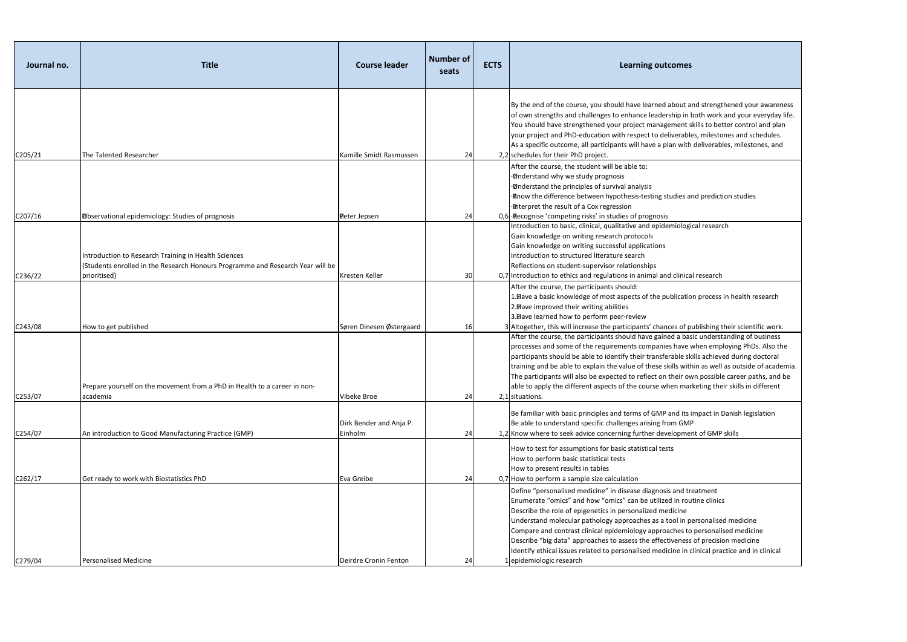| Journal no. | <b>Title</b>                                                                                                                           | <b>Course leader</b>               | <b>Number of</b><br>seats | <b>ECTS</b> | <b>Learning outcomes</b>                                                                                                                                                                                                                                                                                                                                                                                                                                                |
|-------------|----------------------------------------------------------------------------------------------------------------------------------------|------------------------------------|---------------------------|-------------|-------------------------------------------------------------------------------------------------------------------------------------------------------------------------------------------------------------------------------------------------------------------------------------------------------------------------------------------------------------------------------------------------------------------------------------------------------------------------|
|             |                                                                                                                                        |                                    |                           |             | By the end of the course, you should have learned about ar<br>of own strengths and challenges to enhance leadership in b<br>You should have strengthened your project management sl<br>your project and PhD-education with respect to deliverable<br>As a specific outcome, all participants will have a plan with                                                                                                                                                      |
| C205/21     | The Talented Researcher                                                                                                                | Kamille Smidt Rasmussen            | 24                        |             | 2,2 schedules for their PhD project.                                                                                                                                                                                                                                                                                                                                                                                                                                    |
|             |                                                                                                                                        |                                    |                           |             | After the course, the student will be able to:<br><b>D</b> nderstand why we study prognosis<br><b>D</b> nderstand the principles of survival analysis<br>· Inow the difference between hypothesis-testing studies ar<br><b>Interpret the result of a Cox regression</b>                                                                                                                                                                                                 |
| C207/16     | <b>Observational epidemiology: Studies of prognosis</b>                                                                                | Peter Jepsen                       | 24                        |             | 0,6 Recognise 'competing risks' in studies of prognosis<br>Introduction to basic, clinical, qualitative and epidemiologie                                                                                                                                                                                                                                                                                                                                               |
|             | Introduction to Research Training in Health Sciences<br>(Students enrolled in the Research Honours Programme and Research Year will be |                                    |                           |             | Gain knowledge on writing research protocols<br>Gain knowledge on writing successful applications<br>Introduction to structured literature search<br>Reflections on student-supervisor relationships                                                                                                                                                                                                                                                                    |
| C236/22     | prioritised)                                                                                                                           | Kresten Keller                     | 30                        |             | 0,7 Introduction to ethics and regulations in animal and clinical                                                                                                                                                                                                                                                                                                                                                                                                       |
| C243/08     | How to get published                                                                                                                   | Søren Dinesen Østergaard           | 16                        |             | After the course, the participants should:<br>1. Have a basic knowledge of most aspects of the publicatio<br>2. Bave improved their writing abilities<br>3. Bave learned how to perform peer-review<br>3 Altogether, this will increase the participants' chances of pu                                                                                                                                                                                                 |
| C253/07     | Prepare yourself on the movement from a PhD in Health to a career in non-<br>academia                                                  | Vibeke Broe                        | 24                        |             | After the course, the participants should have gained a bas<br>processes and some of the requirements companies have v<br>participants should be able to identify their transferable ski<br>training and be able to explain the value of these skills with<br>The participants will also be expected to reflect on their ow<br>able to apply the different aspects of the course when marl<br>2,1 situations.                                                           |
| C254/07     | An introduction to Good Manufacturing Practice (GMP)                                                                                   | Dirk Bender and Anja P.<br>Einholm | 24                        |             | Be familiar with basic principles and terms of GMP and its in<br>Be able to understand specific challenges arising from GMP<br>1,2 Know where to seek advice concerning further developmer                                                                                                                                                                                                                                                                              |
| C262/17     | Get ready to work with Biostatistics PhD                                                                                               | Eva Greibe                         | 24                        |             | How to test for assumptions for basic statistical tests<br>How to perform basic statistical tests<br>How to present results in tables<br>0,7 How to perform a sample size calculation                                                                                                                                                                                                                                                                                   |
| C279/04     | <b>Personalised Medicine</b>                                                                                                           | Deirdre Cronin Fenton              | 24                        |             | Define "personalised medicine" in disease diagnosis and tre<br>Enumerate "omics" and how "omics" can be utilized in rout<br>Describe the role of epigenetics in personalized medicine<br>Understand molecular pathology approaches as a tool in pe<br>Compare and contrast clinical epidemiology approaches to<br>Describe "big data" approaches to assess the effectiveness<br>Identify ethical issues related to personalised medicine in c<br>epidemiologic research |

t and strengthened your awareness n both work and your everyday life. t skills to better control and plan bles, milestones and schedules. ith deliverables, milestones, and

and prediction studies

**Intereduced** 

ical research

tion process in health research

f publishing their scientific work. After the consisting of business e when employing PhDs. Also the skills achieved during doctoral rithin as well as outside of academia. own possible career paths, and be arketing their skills in different

ts impact in Danish legislation nent of GMP skills

treatment

outine clinics

n personalised medicine

to personalised medicine

ess of precision medicine

n clinical practice and in clinical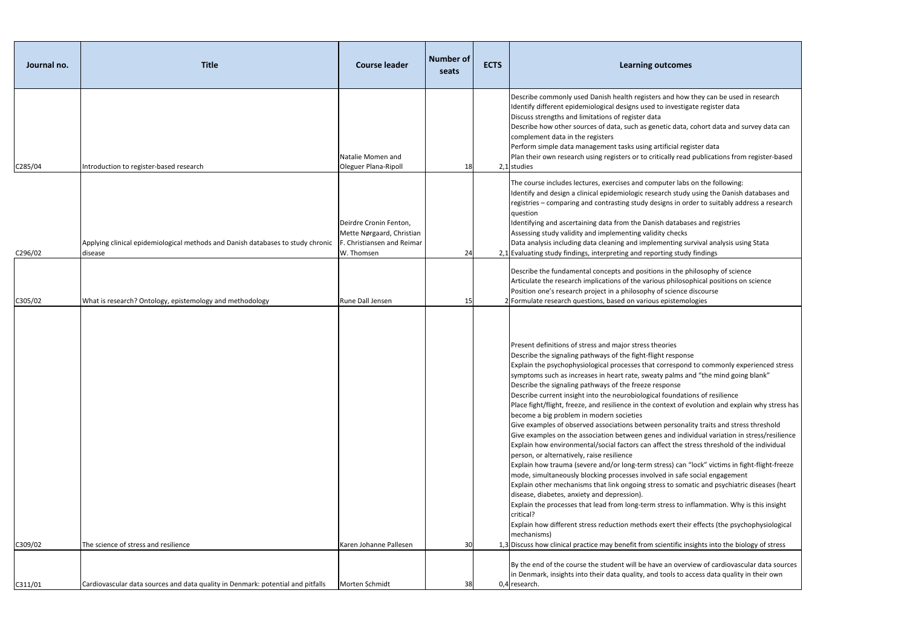Explain how trauma (severe and/or long-term stress) can "lock" victims in fight-flight-freeze fe social engagement matic and psychiatric diseases (heart

 $\mathfrak b$  inflammation. Why is this insight

eir effects (the psychophysiological

insights into the biology of stress

By the erd condiovascular data sources in access data quality in their own

| Journal no. | <b>Title</b>                                                                               | <b>Course leader</b>                                                                            | Number of<br>seats | <b>ECTS</b> | <b>Learning outcomes</b>                                                                                                                                                                                                                                                                                                                                                                                                                                                                                                                                                                                                                                                                                                                                                                                                                                                                                                                                                                                                                                                                                                                                                                                       |
|-------------|--------------------------------------------------------------------------------------------|-------------------------------------------------------------------------------------------------|--------------------|-------------|----------------------------------------------------------------------------------------------------------------------------------------------------------------------------------------------------------------------------------------------------------------------------------------------------------------------------------------------------------------------------------------------------------------------------------------------------------------------------------------------------------------------------------------------------------------------------------------------------------------------------------------------------------------------------------------------------------------------------------------------------------------------------------------------------------------------------------------------------------------------------------------------------------------------------------------------------------------------------------------------------------------------------------------------------------------------------------------------------------------------------------------------------------------------------------------------------------------|
| C285/04     | Introduction to register-based research                                                    | Natalie Momen and<br>Oleguer Plana-Ripoll                                                       | 18                 |             | Describe commonly used Danish health registers and how t<br>Identify different epidemiological designs used to investigat<br>Discuss strengths and limitations of register data<br>Describe how other sources of data, such as genetic data, c<br>complement data in the registers<br>Perform simple data management tasks using artificial regis<br>Plan their own research using registers or to critically read<br>2,1 studies                                                                                                                                                                                                                                                                                                                                                                                                                                                                                                                                                                                                                                                                                                                                                                              |
| C296/02     | Applying clinical epidemiological methods and Danish databases to study chronic<br>disease | Deirdre Cronin Fenton,<br>Mette Nørgaard, Christian<br>F. Christiansen and Reimar<br>W. Thomsen | 24                 |             | The course includes lectures, exercises and computer labs o<br>Identify and design a clinical epidemiologic research study (<br>registries - comparing and contrasting study designs in ord<br>question<br>Identifying and ascertaining data from the Danish database<br>Assessing study validity and implementing validity checks<br>Data analysis including data cleaning and implementing sur<br>2,1 Evaluating study findings, interpreting and reporting study                                                                                                                                                                                                                                                                                                                                                                                                                                                                                                                                                                                                                                                                                                                                            |
| C305/02     | What is research? Ontology, epistemology and methodology                                   | Rune Dall Jensen                                                                                | 15                 |             | Describe the fundamental concepts and positions in the ph<br>Articulate the research implications of the various philosop<br>Position one's research project in a philosophy of science d<br>2 Formulate research questions, based on various epistemold                                                                                                                                                                                                                                                                                                                                                                                                                                                                                                                                                                                                                                                                                                                                                                                                                                                                                                                                                       |
| C309/02     | The science of stress and resilience                                                       | Karen Johanne Pallesen                                                                          | 30                 |             | Present definitions of stress and major stress theories<br>Describe the signaling pathways of the fight-flight response<br>Explain the psychophysiological processes that correspond<br>symptoms such as increases in heart rate, sweaty palms and<br>Describe the signaling pathways of the freeze response<br>Describe current insight into the neurobiological foundation<br>Place fight/flight, freeze, and resilience in the context of eve<br>become a big problem in modern societies<br>Give examples of observed associations between personalit<br>Give examples on the association between genes and indivi<br>Explain how environmental/social factors can affect the stre<br>person, or alternatively, raise resilience<br>Explain how trauma (severe and/or long-term stress) can "I<br>mode, simultaneously blocking processes involved in safe se<br>Explain other mechanisms that link ongoing stress to somat<br>disease, diabetes, anxiety and depression).<br>Explain the processes that lead from long-term stress to inf<br>critical?<br>Explain how different stress reduction methods exert their<br>mechanisms)<br>1,3 Discuss how clinical practice may benefit from scientific insi |
|             |                                                                                            |                                                                                                 |                    |             | By the end of the course the student will be have an overvid<br>in Denmark, insights into their data quality, and tools to aco                                                                                                                                                                                                                                                                                                                                                                                                                                                                                                                                                                                                                                                                                                                                                                                                                                                                                                                                                                                                                                                                                 |
| C311/01     | Cardiovascular data sources and data quality in Denmark: potential and pitfalls            | Morten Schmidt                                                                                  | 38                 |             | 0,4 research.                                                                                                                                                                                                                                                                                                                                                                                                                                                                                                                                                                                                                                                                                                                                                                                                                                                                                                                                                                                                                                                                                                                                                                                                  |

ow they can be used in research Iigate register data

a, cohort data and survey data can

egister data ad publications from register-based

os on the following: dy using the Danish databases and order to suitably address a research

ases and registries survival analysis using Stata dy findings

philosophy of science sophical positions on science e discourse nologies

Ind to commonly experienced stress s and "the mind going blank"

tions of resilience f evolution and explain why stress has

nality traits and stress threshold dividual variation in stress/resilience **stress threshold of the individual**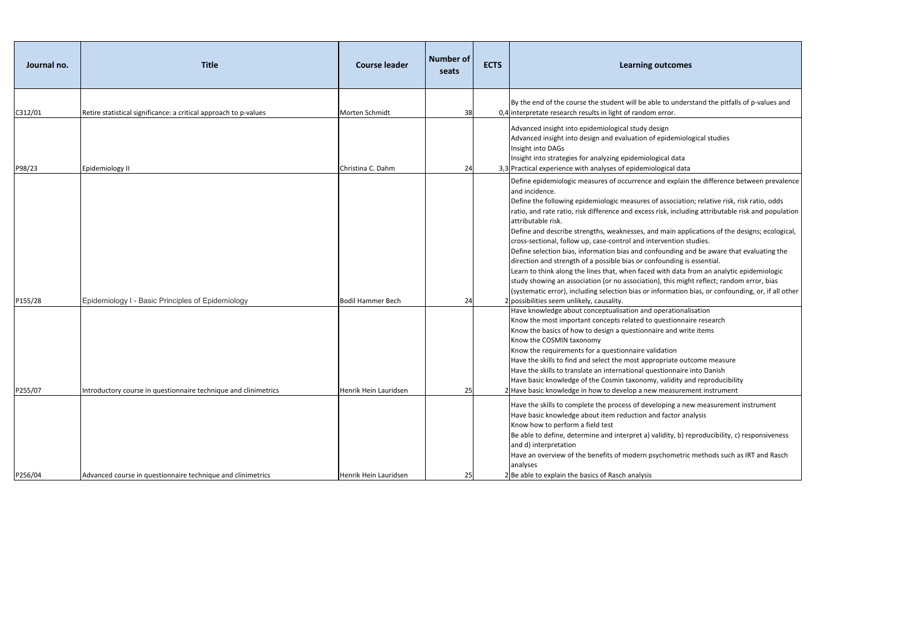| Journal no. | <b>Title</b>                                                     | <b>Course leader</b>  | <b>Number of</b><br>seats | <b>ECTS</b> | <b>Learning outcomes</b>                                                                                                                                                                                                                                                                                                                                                                                                                                                                                                                                                                                                                                                                                                               |
|-------------|------------------------------------------------------------------|-----------------------|---------------------------|-------------|----------------------------------------------------------------------------------------------------------------------------------------------------------------------------------------------------------------------------------------------------------------------------------------------------------------------------------------------------------------------------------------------------------------------------------------------------------------------------------------------------------------------------------------------------------------------------------------------------------------------------------------------------------------------------------------------------------------------------------------|
| C312/01     | Retire statistical significance: a critical approach to p-values | Morten Schmidt        | 38                        |             | By the end of the course the student will be able to unders<br>0,4 interpretate research results in light of random error.                                                                                                                                                                                                                                                                                                                                                                                                                                                                                                                                                                                                             |
| P98/23      | Epidemiology II                                                  | Christina C. Dahm     | 24                        |             | Advanced insight into epidemiological study design<br>Advanced insight into design and evaluation of epidemiolo<br>Insight into DAGs<br>Insight into strategies for analyzing epidemiological data<br>3,3 Practical experience with analyses of epidemiological data                                                                                                                                                                                                                                                                                                                                                                                                                                                                   |
| P155/28     | Epidemiology I - Basic Principles of Epidemiology                | Bodil Hammer Bech     | 24                        |             | Define epidemiologic measures of occurrence and explain<br>and incidence.<br>Define the following epidemiologic measures of association<br>ratio, and rate ratio, risk difference and excess risk, includi<br>attributable risk.<br>Define and describe strengths, weaknesses, and main appl<br>cross-sectional, follow up, case-control and intervention st<br>Define selection bias, information bias and confounding an<br>direction and strength of a possible bias or confounding is<br>Learn to think along the lines that, when faced with data fr<br>study showing an association (or no association), this migh<br>(systematic error), including selection bias or information b<br>2 possibilities seem unlikely, causality. |
| P255/07     | Introductory course in questionnaire technique and clinimetrics  | Henrik Hein Lauridsen | 25                        |             | Have knowledge about conceptualisation and operationali<br>Know the most important concepts related to questionnair<br>Know the basics of how to design a questionnaire and writ<br>Know the COSMIN taxonomy<br>Know the requirements for a questionnaire validation<br>Have the skills to find and select the most appropriate oute<br>Have the skills to translate an international questionnaire i<br>Have basic knowledge of the Cosmin taxonomy, validity an<br>2 Have basic knowledge in how to develop a new measurem                                                                                                                                                                                                           |
| P256/04     | Advanced course in questionnaire technique and clinimetrics      | Henrik Hein Lauridsen | 25                        |             | Have the skills to complete the process of developing a nev<br>Have basic knowledge about item reduction and factor ana<br>Know how to perform a field test<br>Be able to define, determine and interpret a) validity, b) re<br>and d) interpretation<br>Have an overview of the benefits of modern psychometric<br>analyses<br>2 Be able to explain the basics of Rasch analysis                                                                                                                                                                                                                                                                                                                                                      |

lerstand the pitfalls of p-values and

blogical studies

ain the difference between prevalence

tion; relative risk, risk ratio, odds uding attributable risk and population

pplications of the designs; ecological, า studies.

g and be aware that evaluating the direction and strength and strength of a possible bias of a possible term of the set of a possible in the set

If from an analytic epidemiologic iight reflect; random error, bias on bias, or confounding, or, if all other

halisation naire research rite items

outcome measure re into Danish and reproducibility ement instrument

hew measurement instrument analysis

) reproducibility, c) responsiveness

tric methods such as IRT and Rasch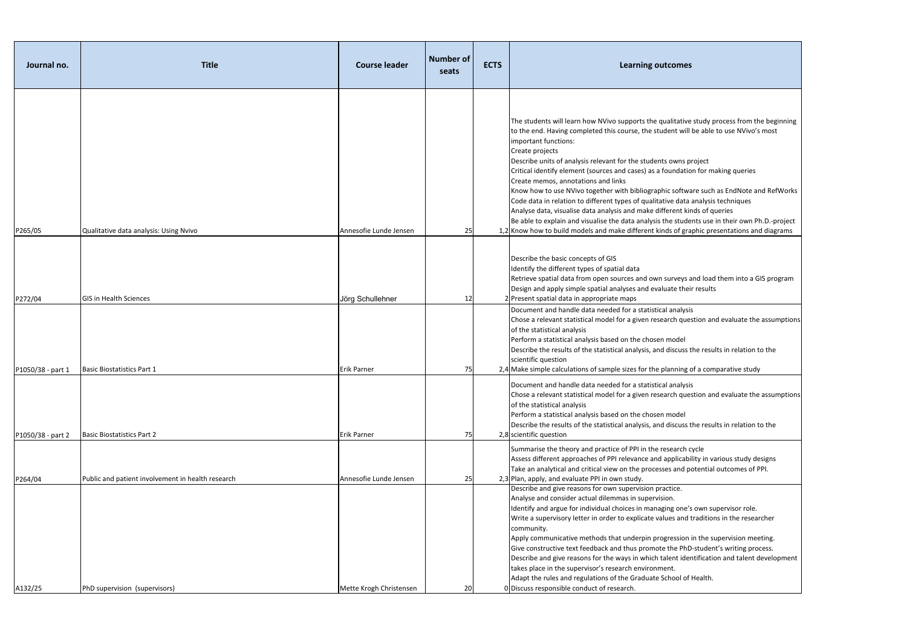| Journal no.                  | <b>Title</b>                                                       | <b>Course leader</b>            | <b>Number of</b><br>seats | <b>ECTS</b> | <b>Learning outcomes</b>                                                                                                                                                                                                                                                                                                                                                                                                                                                                                                                                                                                                                       |
|------------------------------|--------------------------------------------------------------------|---------------------------------|---------------------------|-------------|------------------------------------------------------------------------------------------------------------------------------------------------------------------------------------------------------------------------------------------------------------------------------------------------------------------------------------------------------------------------------------------------------------------------------------------------------------------------------------------------------------------------------------------------------------------------------------------------------------------------------------------------|
|                              |                                                                    |                                 |                           |             | The students will learn how NVivo supports the qualitative stu<br>to the end. Having completed this course, the student will be a<br>important functions:<br>Create projects<br>Describe units of analysis relevant for the students owns proje<br>Critical identify element (sources and cases) as a foundation fo<br>Create memos, annotations and links<br>Know how to use NVivo together with bibliographic software s<br>Code data in relation to different types of qualitative data ana<br>Analyse data, visualise data analysis and make different kinds<br>Be able to explain and visualise the data analysis the students            |
| P265/05                      | Qualitative data analysis: Using Nvivo                             | Annesofie Lunde Jensen          | 25                        |             | 1,2 Know how to build models and make different kinds of graphic<br>Describe the basic concepts of GIS<br>Identify the different types of spatial data<br>Retrieve spatial data from open sources and own surveys and                                                                                                                                                                                                                                                                                                                                                                                                                          |
| P272/04<br>P1050/38 - part 1 | <b>GIS in Health Sciences</b><br><b>Basic Biostatistics Part 1</b> | Jörg Schullehner<br>Erik Parner | $12 \,$<br>75             |             | Design and apply simple spatial analyses and evaluate their rest<br>2 Present spatial data in appropriate maps<br>Document and handle data needed for a statistical analysis<br>Chose a relevant statistical model for a given research questior<br>of the statistical analysis<br>Perform a statistical analysis based on the chosen model<br>Describe the results of the statistical analysis, and discuss the r<br>scientific question<br>2,4 Make simple calculations of sample sizes for the planning of a                                                                                                                                |
| P1050/38 - part 2            | <b>Basic Biostatistics Part 2</b>                                  | <b>Erik Parner</b>              | 75                        |             | Document and handle data needed for a statistical analysis<br>Chose a relevant statistical model for a given research questior<br>of the statistical analysis<br>Perform a statistical analysis based on the chosen model<br>Describe the results of the statistical analysis, and discuss the r<br>2,8 scientific question                                                                                                                                                                                                                                                                                                                    |
| P264/04                      | Public and patient involvement in health research                  | Annesofie Lunde Jensen          | 25                        |             | Summarise the theory and practice of PPI in the research cycle<br>Assess different approaches of PPI relevance and applicability<br>Take an analytical and critical view on the processes and poter<br>2,3 Plan, apply, and evaluate PPI in own study.                                                                                                                                                                                                                                                                                                                                                                                         |
| A132/25                      | PhD supervision (supervisors)                                      | Mette Krogh Christensen         | 20                        |             | Describe and give reasons for own supervision practice.<br>Analyse and consider actual dilemmas in supervision.<br>Identify and argue for individual choices in managing one's ow<br>Write a supervisory letter in order to explicate values and trad<br>community.<br>Apply communicative methods that underpin progression in th<br>Give constructive text feedback and thus promote the PhD-stu<br>Describe and give reasons for the ways in which talent identific<br>takes place in the supervisor's research environment.<br>Adapt the rules and regulations of the Graduate School of Hea<br>0 Discuss responsible conduct of research. |

ive study process from the beginning vill be able to use NVivo's most

i project tion for making queries

ware such as EndNote and RefWorks ta analysis techniques

kinds of queries

dents use in their own Ph.D.-project  $graphic$  presentations and diagrams

s and load them into a GIS program eir results

Lestion and evaluate the assumptions

ss the results in relation to the

g of a comparative study

Lestion and evaluate the assumptions

s the results in relation to the

hiasses different approaches different and approaches the UPI relations and applications potential outcomes of PPI.

 $e'$ s own supervisor role. nd traditions in the researcher

apply in the supervision meeting. hD-student's writing process. dentification and talent development

of Health.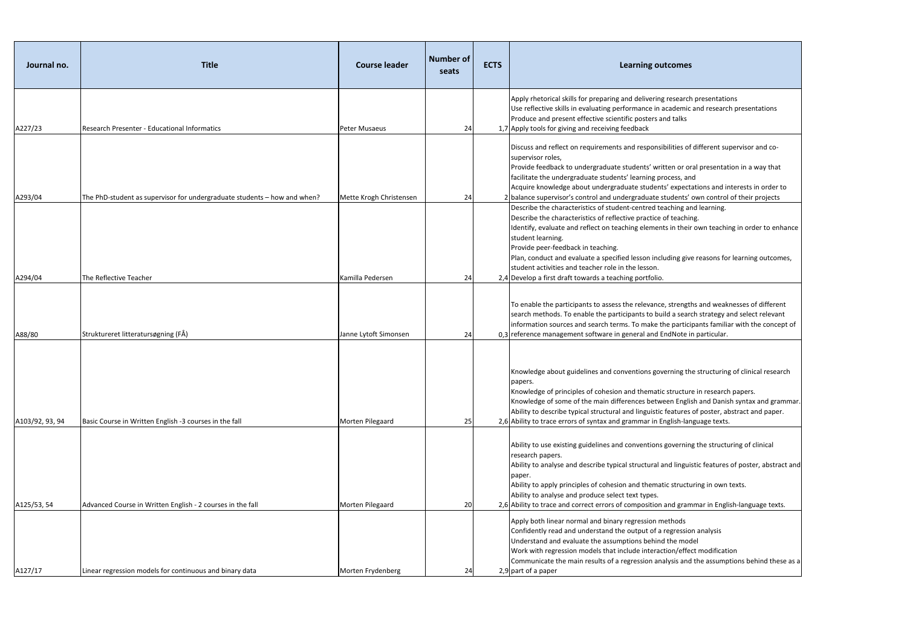| Journal no.       | <b>Title</b>                                                             | <b>Course leader</b>                      | <b>Number of</b><br>seats | <b>ECTS</b> | <b>Learning outcomes</b>                                                                                                                                                                                                                                                                                                                                                              |
|-------------------|--------------------------------------------------------------------------|-------------------------------------------|---------------------------|-------------|---------------------------------------------------------------------------------------------------------------------------------------------------------------------------------------------------------------------------------------------------------------------------------------------------------------------------------------------------------------------------------------|
| A227/23           | Research Presenter - Educational Informatics                             | Peter Musaeus                             | 24                        |             | Apply rhetorical skills for preparing and delivering research p<br>Use reflective skills in evaluating performance in academic ar<br>Produce and present effective scientific posters and talks<br>1,7 Apply tools for giving and receiving feedback                                                                                                                                  |
| A293/04           | The PhD-student as supervisor for undergraduate students - how and when? | Mette Krogh Christensen                   | 24                        |             | Discuss and reflect on requirements and responsibilities of di<br>supervisor roles,<br>Provide feedback to undergraduate students' written or oral<br>facilitate the undergraduate students' learning process, and<br>Acquire knowledge about undergraduate students' expectati<br>2 balance supervisor's control and undergraduate students' ov                                      |
|                   |                                                                          |                                           |                           |             | Describe the characteristics of student-centred teaching and<br>Describe the characteristics of reflective practice of teaching.<br>Identify, evaluate and reflect on teaching elements in their o<br>student learning.<br>Provide peer-feedback in teaching.<br>Plan, conduct and evaluate a specified lesson including give r<br>student activities and teacher role in the lesson. |
| A294/04<br>A88/80 | The Reflective Teacher<br>Struktureret litteratursøgning (FÅ)            | Kamilla Pedersen<br>Janne Lytoft Simonsen | 24                        |             | 2,4 Develop a first draft towards a teaching portfolio.<br>To enable the participants to assess the relevance, strengths<br>search methods. To enable the participants to build a search<br>information sources and search terms. To make the participa<br>0,3 reference management software in general and EndNote in p                                                              |
| A103/92, 93, 94   | Basic Course in Written English -3 courses in the fall                   | Morten Pilegaard                          | 24<br>25                  |             | Knowledge about guidelines and conventions governing the :<br>papers.<br>Knowledge of principles of cohesion and thematic structure i<br>Knowledge of some of the main differences between English<br>Ability to describe typical structural and linguistic features of<br>2,6 Ability to trace errors of syntax and grammar in English-langu                                         |
| A125/53, 54       | Advanced Course in Written English - 2 courses in the fall               | Morten Pilegaard                          | 20                        |             | Ability to use existing guidelines and conventions governing t<br>research papers.<br>Ability to analyse and describe typical structural and linguisti<br>paper.<br>Ability to apply principles of cohesion and thematic structuring<br>Ability to analyse and produce select text types.<br>2,6 Ability to trace and correct errors of composition and gramm                         |
| A127/17           | Linear regression models for continuous and binary data                  | Morten Frydenberg                         | 24                        |             | Apply both linear normal and binary regression methods<br>Confidently read and understand the output of a regression a<br>Understand and evaluate the assumptions behind the model<br>Work with regression models that include interaction/effect<br>Communicate the main results of a regression analysis and th<br>2,9 part of a paper                                              |

arch presentations mic and research presentations

of different supervisor and co-

- r oral presentation in a way that
- ectations and interests in order to ts' own control of their projects
- g and learning.
- 
- Ieir own teaching in order to enhance

give reasons for learning outcomes,

ngths and weaknesses of different earch strategy and select relevant icipants familiar with the concept of te in particular.

g the structuring of clinical research

ture in research papers.

Iglish and Danish syntax and grammar. res of poster, abstract and paper. language texts.

ning the structuring of clinical

guistic features of poster, abstract and

cturing in own texts.

ammar in English-language texts.

- sion analysis
- 
- ffect modification
- Ind the assumptions behind these as a